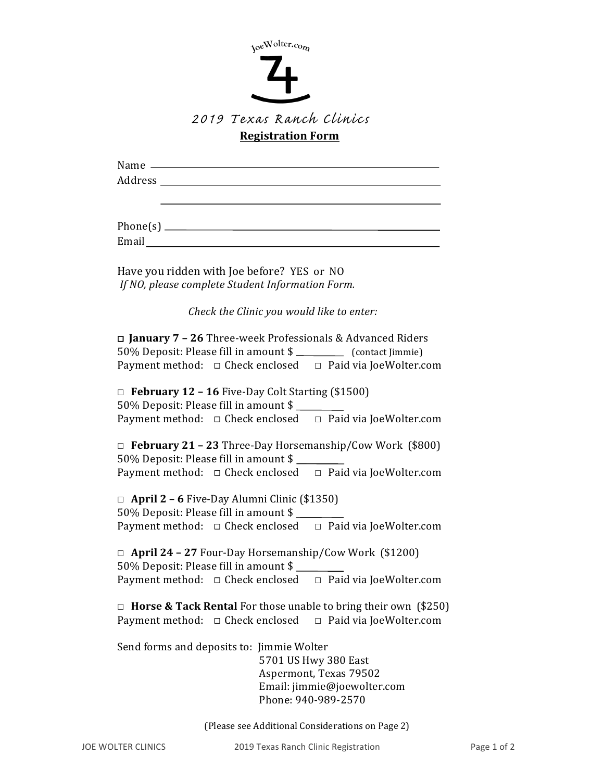

| Address and the contract of the contract of the contract of the contract of the contract of the contract of the |
|-----------------------------------------------------------------------------------------------------------------|
|                                                                                                                 |
|                                                                                                                 |
|                                                                                                                 |
|                                                                                                                 |
| Have you ridden with Joe before? YES or NO                                                                      |
| If NO, please complete Student Information Form.                                                                |
|                                                                                                                 |
| Check the Clinic you would like to enter:                                                                       |
| □ January 7 - 26 Three-week Professionals & Advanced Riders                                                     |
| 50% Deposit: Please fill in amount \$ ___________ (contact Jimmie)                                              |
| Payment method: $\Box$ Check enclosed $\Box$ Paid via JoeWolter.com                                             |
| $\Box$ February 12 - 16 Five-Day Colt Starting (\$1500)                                                         |
| 50% Deposit: Please fill in amount \$                                                                           |
| Payment method: □ Check enclosed □ Paid via JoeWolter.com                                                       |
| $\Box$ February 21 – 23 Three-Day Horsemanship/Cow Work (\$800)                                                 |
| 50% Deposit: Please fill in amount \$                                                                           |
| Payment method: $\Box$ Check enclosed $\Box$ Paid via JoeWolter.com                                             |
|                                                                                                                 |
| $\Box$ April 2 – 6 Five-Day Alumni Clinic (\$1350)                                                              |
| 50% Deposit: Please fill in amount \$                                                                           |
| Payment method: □ Check enclosed □ Paid via JoeWolter.com                                                       |
| $\Box$ April 24 – 27 Four-Day Horsemanship/Cow Work (\$1200)                                                    |
| 50% Deposit: Please fill in amount \$                                                                           |
| Payment method: □ Check enclosed □ Paid via JoeWolter.com                                                       |
| $\Box$ Horse & Tack Rental For those unable to bring their own (\$250)                                          |
| $\Box$ Check enclosed<br>$\Box$ Paid via JoeWolter.com<br>Payment method:                                       |
|                                                                                                                 |
| Send forms and deposits to: Jimmie Wolter                                                                       |
| 5701 US Hwy 380 East                                                                                            |
| Aspermont, Texas 79502<br>Email: jimmie@joewolter.com                                                           |
|                                                                                                                 |

(Please see Additional Considerations on Page 2)

Phone: 940-989-2570